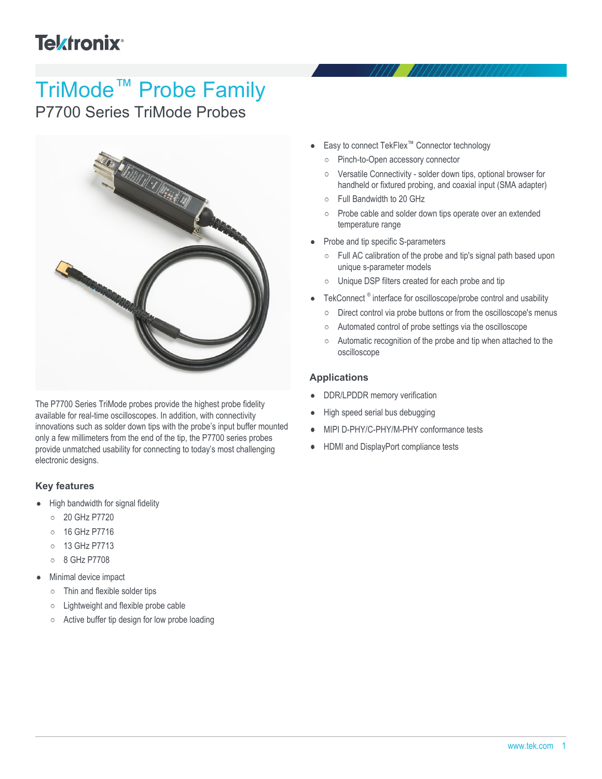# **Tektronix®**

# TriMode™ Probe Family

P7700 Series TriMode Probes



The P7700 Series TriMode probes provide the highest probe fidelity available for real-time oscilloscopes. In addition, with connectivity innovations such as solder down tips with the probe's input buffer mounted only a few millimeters from the end of the tip, the P7700 series probes provide unmatched usability for connecting to today's most challenging electronic designs.

#### **Key features**

- High bandwidth for signal fidelity
	- 20 GHz P7720  $\circ$
	- 16 GHz P7716  $\circ$
	- 13 GHz P7713  $\circ$
	- 8 GHz P7708
- Minimal device impact  $\bullet$ 
	- Thin and flexible solder tips
	- Lightweight and flexible probe cable  $\circ$
	- Active buffer tip design for low probe loading
- Easy to connect TekFlex™ Connector technology
	- Pinch-to-Open accessory connector
	- Versatile Connectivity solder down tips, optional browser for handheld or fixtured probing, and coaxial input (SMA adapter)
	- Full Bandwidth to 20 GHz  $\circ$
	- Probe cable and solder down tips operate over an extended  $\circ$ temperature range
- Probe and tip specific S-parameters
	- Full AC calibration of the probe and tip's signal path based upon unique s-parameter models
	- Unique DSP filters created for each probe and tip  $\circ$
- TekConnect ® interface for oscilloscope/probe control and usability
	- $\circ$ Direct control via probe buttons or from the oscilloscope's menus
	- $\circ$ Automated control of probe settings via the oscilloscope
	- Automatic recognition of the probe and tip when attached to the  $\circ$ oscilloscope

#### **Applications**

- DDR/LPDDR memory verification
- High speed serial bus debugging
- MIPI D-PHY/C-PHY/M-PHY conformance tests
- HDMI and DisplayPort compliance tests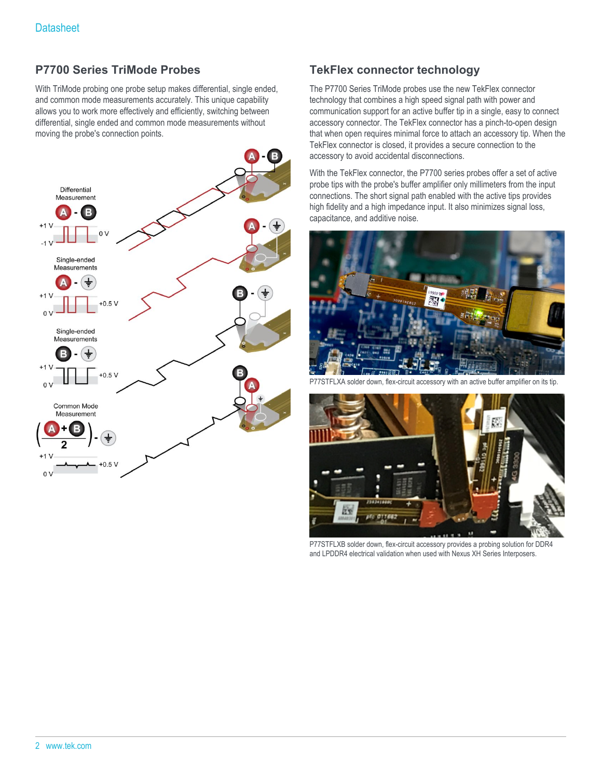# **P7700 Series TriMode Probes**

With TriMode probing one probe setup makes differential, single ended, and common mode measurements accurately. This unique capability allows you to work more effectively and efficiently, switching between differential, single ended and common mode measurements without moving the probe's connection points.



# **TekFlex connector technology**

The P7700 Series TriMode probes use the new TekFlex connector technology that combines a high speed signal path with power and communication support for an active buffer tip in a single, easy to connect accessory connector. The TekFlex connector has a pinch-to-open design that when open requires minimal force to attach an accessory tip. When the TekFlex connector is closed, it provides a secure connection to the accessory to avoid accidental disconnections.

With the TekFlex connector, the P7700 series probes offer a set of active probe tips with the probe's buffer amplifier only millimeters from the input connections. The short signal path enabled with the active tips provides high fidelity and a high impedance input. It also minimizes signal loss, capacitance, and additive noise.



P77STFLXA solder down, flex-circuit accessory with an active buffer amplifier on its tip.



P77STFLXB solder down, flex-circuit accessory provides a probing solution for DDR4 and LPDDR4 electrical validation when used with Nexus XH Series Interposers.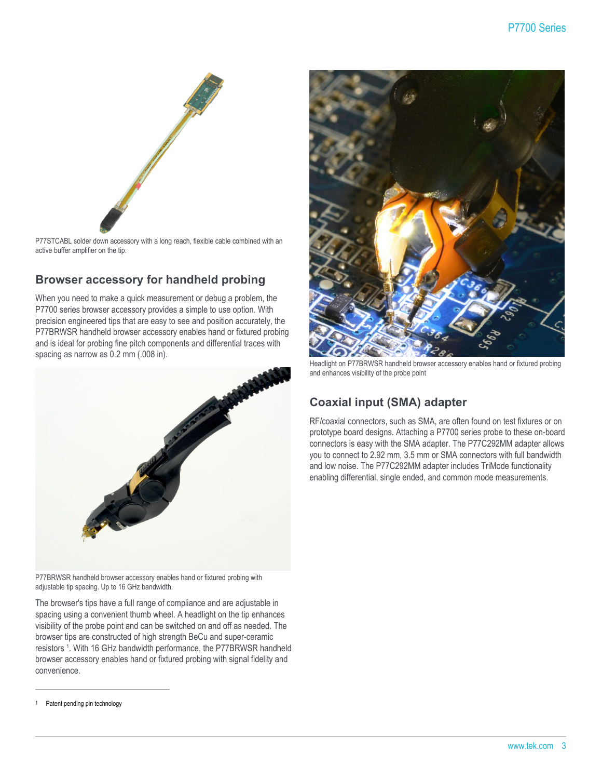

P77STCABL solder down accessory with a long reach, flexible cable combined with an active buffer amplifier on the tip.

# **Browser accessory for handheld probing**

When you need to make a quick measurement or debug a problem, the P7700 series browser accessory provides a simple to use option. With precision engineered tips that are easy to see and position accurately, the P77BRWSR handheld browser accessory enables hand or fixtured probing and is ideal for probing fine pitch components and differential traces with spacing as narrow as 0.2 mm (.008 in).



P77BRWSR handheld browser accessory enables hand or fixtured probing with adjustable tip spacing. Up to 16 GHz bandwidth.

The browser's tips have a full range of compliance and are adjustable in spacing using a convenient thumb wheel. A headlight on the tip enhances visibility of the probe point and can be switched on and off as needed. The browser tips are constructed of high strength BeCu and super-ceramic resistors<sup>1</sup>. With 16 GHz bandwidth performance, the P77BRWSR handheld browser accessory enables hand or fixtured probing with signal fidelity and convenience.



Headlight on P77BRWSR handheld browser accessory enables hand or fixtured probing and enhances visibility of the probe point

# **Coaxial input (SMA) adapter**

RF/coaxial connectors, such as SMA, are often found on test fixtures or on prototype board designs. Attaching a P7700 series probe to these on-board connectors is easy with the SMA adapter. The P77C292MM adapter allows you to connect to 2.92 mm, 3.5 mm or SMA connectors with full bandwidth and low noise. The P77C292MM adapter includes TriMode functionality enabling differential, single ended, and common mode measurements.

Patent pending pin technology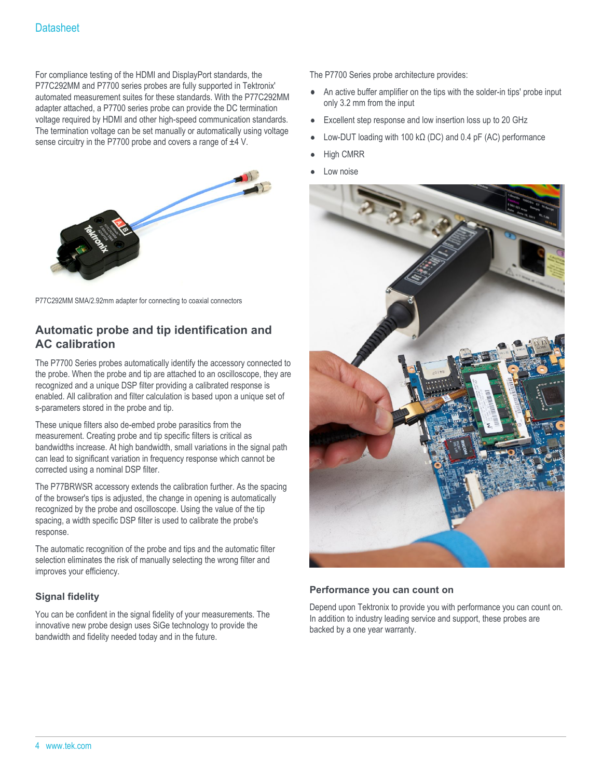For compliance testing of the HDMI and DisplayPort standards, the P77C292MM and P7700 series probes are fully supported in Tektronix' automated measurement suites for these standards. With the P77C292MM adapter attached, a P7700 series probe can provide the DC termination voltage required by HDMI and other high-speed communication standards. The termination voltage can be set manually or automatically using voltage sense circuitry in the P7700 probe and covers a range of  $\pm 4$  V.



P77C292MM SMA/2.92mm adapter for connecting to coaxial connectors

## **Automatic probe and tip identification and AC calibration**

The P7700 Series probes automatically identify the accessory connected to the probe. When the probe and tip are attached to an oscilloscope, they are recognized and a unique DSP filter providing a calibrated response is enabled. All calibration and filter calculation is based upon a unique set of s-parameters stored in the probe and tip.

These unique filters also de-embed probe parasitics from the measurement. Creating probe and tip specific filters is critical as bandwidths increase. At high bandwidth, small variations in the signal path can lead to significant variation in frequency response which cannot be corrected using a nominal DSP filter.

The P77BRWSR accessory extends the calibration further. As the spacing of the browser's tips is adjusted, the change in opening is automatically recognized by the probe and oscilloscope. Using the value of the tip spacing, a width specific DSP filter is used to calibrate the probe's response.

The automatic recognition of the probe and tips and the automatic filter selection eliminates the risk of manually selecting the wrong filter and improves your efficiency.

#### **Signal fidelity**

You can be confident in the signal fidelity of your measurements. The innovative new probe design uses SiGe technology to provide the bandwidth and fidelity needed today and in the future.

The P7700 Series probe architecture provides:

- An active buffer amplifier on the tips with the solder-in tips' probe input only 3.2 mm from the input
- Excellent step response and low insertion loss up to 20 GHz
- Low-DUT loading with 100 kΩ (DC) and 0.4 pF (AC) performance
- High CMRR
- Low noise



#### **Performance you can count on**

Depend upon Tektronix to provide you with performance you can count on. In addition to industry leading service and support, these probes are backed by a one year warranty.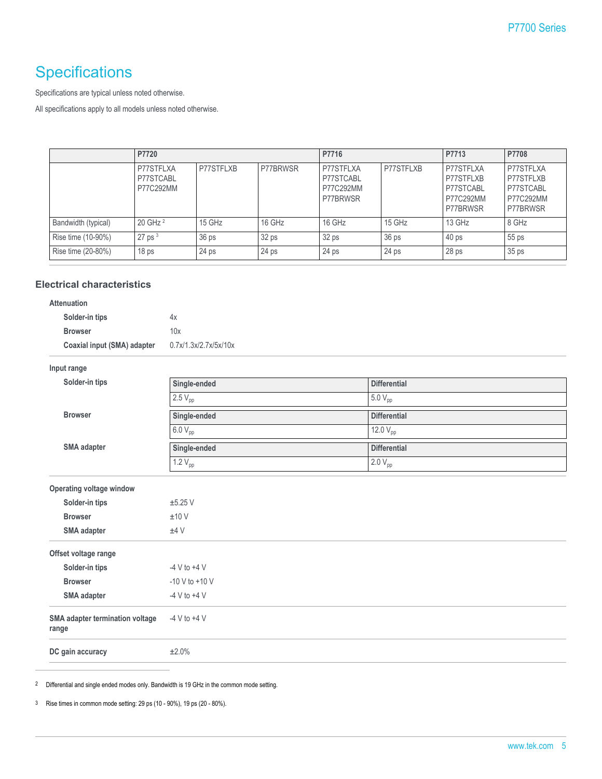# **Specifications**

Specifications are typical unless noted otherwise.

All specifications apply to all models unless noted otherwise.

|                     | P7720                               |                  | P7716            |                                                 | P7713            | P7708                                                        |                                                              |
|---------------------|-------------------------------------|------------------|------------------|-------------------------------------------------|------------------|--------------------------------------------------------------|--------------------------------------------------------------|
|                     | P77STFLXA<br>P77STCABL<br>P77C292MM | P77STFLXB        | P77BRWSR         | P77STFLXA<br>P77STCABL<br>P77C292MM<br>P77BRWSR | P77STFLXB        | P77STFLXA<br>P77STFLXB<br>P77STCABL<br>P77C292MM<br>P77BRWSR | P77STFLXA<br>P77STFLXB<br>P77STCABL<br>P77C292MM<br>P77BRWSR |
| Bandwidth (typical) | 20 GHz <sup>2</sup>                 | 15 GHz           | 16 GHz           | 16 GHz                                          | 15 GHz           | 13 GHz                                                       | 8 GHz                                                        |
| Rise time (10-90%)  | $27$ ps $3$                         | 36 <sub>ps</sub> | 32 <sub>ps</sub> | 32 <sub>ps</sub>                                | 36 <sub>ps</sub> | 40 <sub>ps</sub>                                             | 55 <sub>ps</sub>                                             |
| Rise time (20-80%)  | 18 <sub>ps</sub>                    | 24 <sub>ps</sub> | 24 ps            | 24 ps                                           | 24 ps            | 28 <sub>ps</sub>                                             | 35 <sub>ps</sub>                                             |

#### **Electrical characteristics**

| <b>Attenuation</b>                       |                       |  |                     |
|------------------------------------------|-----------------------|--|---------------------|
| Solder-in tips                           | 4x                    |  |                     |
| <b>Browser</b>                           | 10x                   |  |                     |
| Coaxial input (SMA) adapter              | 0.7x/1.3x/2.7x/5x/10x |  |                     |
| Input range                              |                       |  |                     |
| Solder-in tips                           | Single-ended          |  | <b>Differential</b> |
|                                          | $2.5 V_{\text{pp}}$   |  | $5.0 V_{\text{pp}}$ |
| <b>Browser</b>                           | Single-ended          |  | <b>Differential</b> |
|                                          | $6.0 V_{pp}$          |  | 12.0 $V_{pp}$       |
| <b>SMA</b> adapter                       | Single-ended          |  | <b>Differential</b> |
|                                          | $1.2 V_{pp}$          |  | $2.0 V_{pp}$        |
| Operating voltage window                 |                       |  |                     |
| Solder-in tips                           | $±5.25$ V             |  |                     |
| <b>Browser</b>                           | ±10V                  |  |                     |
| <b>SMA</b> adapter                       | ±4V                   |  |                     |
| Offset voltage range                     |                       |  |                     |
| Solder-in tips                           | -4 V to +4 V          |  |                     |
| <b>Browser</b>                           | $-10 V$ to $+10 V$    |  |                     |
| <b>SMA</b> adapter                       | -4 V to $+4$ V        |  |                     |
| SMA adapter termination voltage<br>range | -4 V to $+4$ V        |  |                     |
| DC gain accuracy                         | ±2.0%                 |  |                     |

2 Differential and single ended modes only. Bandwidth is 19 GHz in the common mode setting.

3 Rise times in common mode setting: 29 ps (10 - 90%), 19 ps (20 - 80%).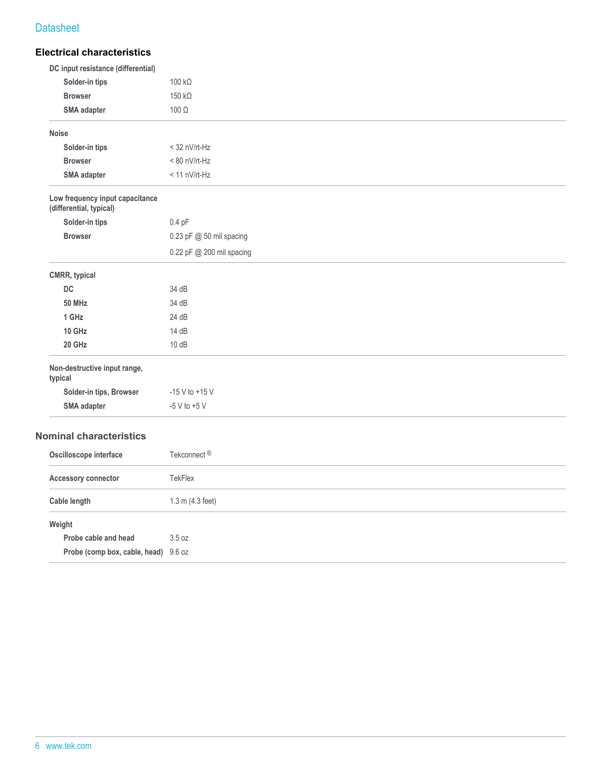### **Datasheet**

#### **Electrical characteristics**

| DC input resistance (differential)                         |                           |  |
|------------------------------------------------------------|---------------------------|--|
| Solder-in tips                                             | 100 k $\Omega$            |  |
| <b>Browser</b>                                             |                           |  |
|                                                            | $150 k\Omega$             |  |
| <b>SMA</b> adapter                                         | 100 $\Omega$              |  |
| <b>Noise</b>                                               |                           |  |
| Solder-in tips                                             | < 32 nV/rt-Hz             |  |
| <b>Browser</b>                                             | < 80 nV/rt-Hz             |  |
| <b>SMA</b> adapter                                         | $< 11$ nV/rt-Hz           |  |
| Low frequency input capacitance<br>(differential, typical) |                           |  |
| Solder-in tips                                             | $0.4$ pF                  |  |
| <b>Browser</b>                                             | 0.23 pF @ 50 mil spacing  |  |
|                                                            | 0.22 pF @ 200 mil spacing |  |
| CMRR, typical                                              |                           |  |
| <b>DC</b>                                                  | 34 dB                     |  |
| <b>50 MHz</b>                                              | 34 dB                     |  |
| 1 GHz                                                      | 24 dB                     |  |
| 10 GHz                                                     | 14 dB                     |  |
| 20 GHz                                                     | 10dB                      |  |
| Non-destructive input range,<br>typical                    |                           |  |
| Solder-in tips, Browser                                    | $-15$ V to $+15$ V        |  |
| <b>SMA</b> adapter                                         | $-5$ V to $+5$ V          |  |
| <b>Nominal characteristics</b>                             |                           |  |
| Oscilloscope interface                                     | Tekconnect <sup>®</sup>   |  |
| Accessory connector                                        | <b>TekFlex</b>            |  |
| Cable length                                               | 1.3 m (4.3 feet)          |  |
| Weight                                                     |                           |  |
| Probe cable and head                                       | 3.5 oz                    |  |
| Probe (comp box, cable, head)                              | 9.6 oz                    |  |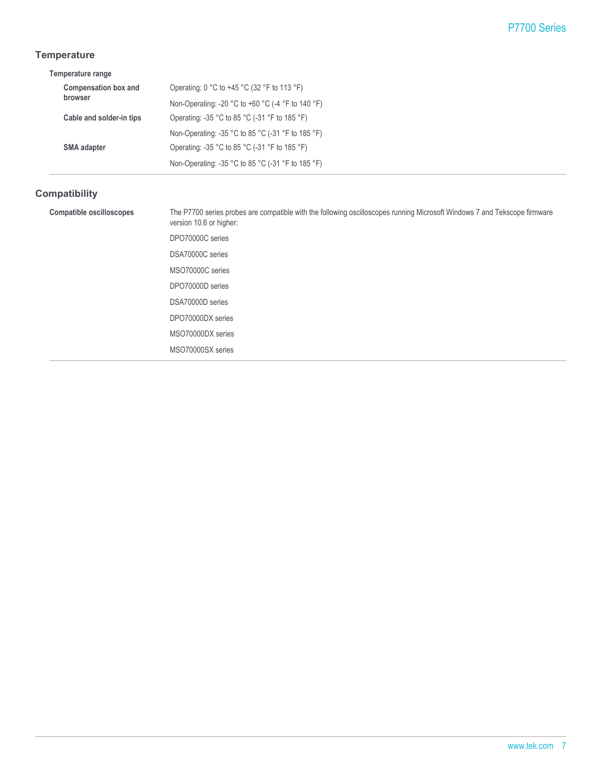#### **Temperature**

|                                        | Temperature range |                                                                                     |
|----------------------------------------|-------------------|-------------------------------------------------------------------------------------|
| <b>Compensation box and</b><br>browser |                   | Operating: $0 °C$ to $+45 °C$ (32 °F to 113 °F)                                     |
|                                        |                   | Non-Operating: -20 °C to +60 °C (-4 °F to 140 °F)                                   |
| Cable and solder-in tips               |                   | Operating: $-35 \degree C$ to 85 $\degree C$ ( $-31 \degree F$ to 185 $\degree F$ ) |
|                                        |                   | Non-Operating: -35 °C to 85 °C (-31 °F to 185 °F)                                   |
| <b>SMA adapter</b>                     |                   | Operating: $-35 \degree C$ to 85 $\degree C$ ( $-31 \degree F$ to 185 $\degree F$ ) |
|                                        |                   | Non-Operating: -35 °C to 85 °C (-31 °F to 185 °F)                                   |
|                                        |                   |                                                                                     |

### **Compatibility**

| <b>Compatible oscilloscopes</b> | The P7700 series probes are compatible with the following oscilloscopes running Microsoft Windows 7 and Tekscope firmware<br>version 10.6 or higher: |  |
|---------------------------------|------------------------------------------------------------------------------------------------------------------------------------------------------|--|
|                                 | DPO70000C series                                                                                                                                     |  |
|                                 | DSA70000C series                                                                                                                                     |  |
|                                 | MSO70000C series                                                                                                                                     |  |
|                                 | DPO70000D series                                                                                                                                     |  |
|                                 | DSA70000D series                                                                                                                                     |  |
|                                 | DPO70000DX series                                                                                                                                    |  |
|                                 | MSO70000DX series                                                                                                                                    |  |
|                                 | MSO70000SX series                                                                                                                                    |  |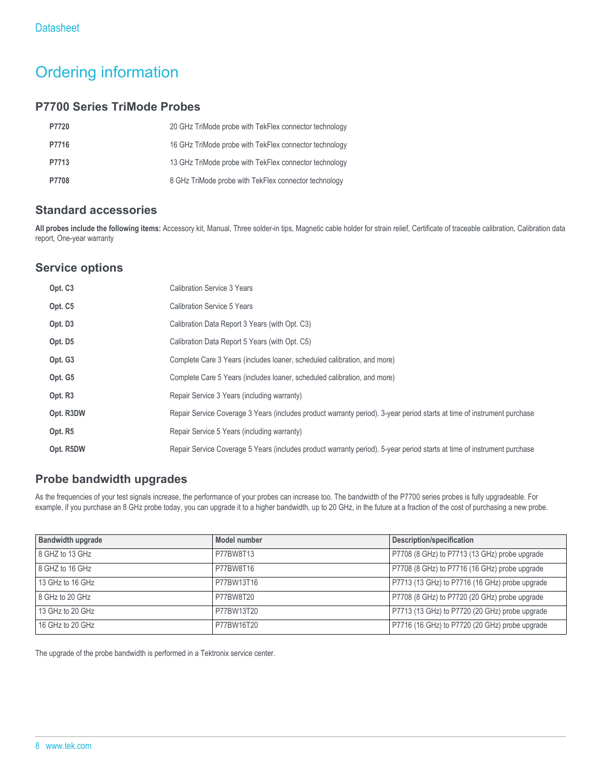# Ordering information

#### **P7700 Series TriMode Probes**

| P7720 | 20 GHz TriMode probe with TekFlex connector technology |
|-------|--------------------------------------------------------|
| P7716 | 16 GHz TriMode probe with TekFlex connector technology |
| P7713 | 13 GHz TriMode probe with TekFlex connector technology |
| P7708 | 8 GHz TriMode probe with TekFlex connector technology  |

#### **Standard accessories**

**All probes include the following items:** Accessory kit, Manual, Three solder-in tips, Magnetic cable holder for strain relief, Certificate of traceable calibration, Calibration data report, One-year warranty

#### **Service options**

| Opt. C <sub>3</sub> | <b>Calibration Service 3 Years</b>                                                                                      |  |  |
|---------------------|-------------------------------------------------------------------------------------------------------------------------|--|--|
| Opt. C <sub>5</sub> | <b>Calibration Service 5 Years</b>                                                                                      |  |  |
| Opt. D3             | Calibration Data Report 3 Years (with Opt. C3)                                                                          |  |  |
| Opt. D5             | Calibration Data Report 5 Years (with Opt. C5)                                                                          |  |  |
| Opt. G3             | Complete Care 3 Years (includes loaner, scheduled calibration, and more)                                                |  |  |
| Opt. G5             | Complete Care 5 Years (includes loaner, scheduled calibration, and more)                                                |  |  |
| Opt. R <sub>3</sub> | Repair Service 3 Years (including warranty)                                                                             |  |  |
| Opt. R3DW           | Repair Service Coverage 3 Years (includes product warranty period). 3-year period starts at time of instrument purchase |  |  |
| Opt. R5             | Repair Service 5 Years (including warranty)                                                                             |  |  |
| Opt. R5DW           | Repair Service Coverage 5 Years (includes product warranty period). 5-year period starts at time of instrument purchase |  |  |

## **Probe bandwidth upgrades**

As the frequencies of your test signals increase, the performance of your probes can increase too. The bandwidth of the P7700 series probes is fully upgradeable. For example, if you purchase an 8 GHz probe today, you can upgrade it to a higher bandwidth, up to 20 GHz, in the future at a fraction of the cost of purchasing a new probe.

| <b>Bandwidth upgrade</b> | Model number | Description/specification                      |
|--------------------------|--------------|------------------------------------------------|
| 8 GHZ to 13 GHz          | P77BW8T13    | P7708 (8 GHz) to P7713 (13 GHz) probe upgrade  |
| 8 GHZ to 16 GHz          | P77BW8T16    | P7708 (8 GHz) to P7716 (16 GHz) probe upgrade  |
| 13 GHz to 16 GHz         | P77BW13T16   | P7713 (13 GHz) to P7716 (16 GHz) probe upgrade |
| 8 GHz to 20 GHz          | P77BW8T20    | P7708 (8 GHz) to P7720 (20 GHz) probe upgrade  |
| 13 GHz to 20 GHz         | P77BW13T20   | P7713 (13 GHz) to P7720 (20 GHz) probe upgrade |
| 16 GHz to 20 GHz         | P77BW16T20   | P7716 (16 GHz) to P7720 (20 GHz) probe upgrade |

The upgrade of the probe bandwidth is performed in a Tektronix service center.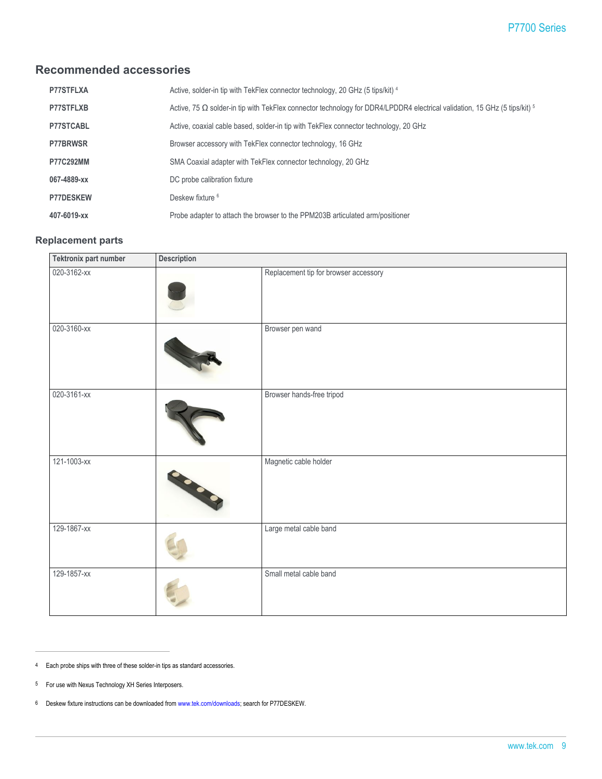# **Recommended accessories**

| <b>P77STFLXA</b> | Active, solder-in tip with TekFlex connector technology, 20 GHz (5 tips/kit) 4                                                   |  |  |
|------------------|----------------------------------------------------------------------------------------------------------------------------------|--|--|
| <b>P77STFLXB</b> | Active, 75 $\Omega$ solder-in tip with TekFlex connector technology for DDR4/LPDDR4 electrical validation, 15 GHz (5 tips/kit) 5 |  |  |
| <b>P77STCABL</b> | Active, coaxial cable based, solder-in tip with TekFlex connector technology, 20 GHz                                             |  |  |
| <b>P77BRWSR</b>  | Browser accessory with TekFlex connector technology, 16 GHz                                                                      |  |  |
| <b>P77C292MM</b> | SMA Coaxial adapter with TekFlex connector technology, 20 GHz                                                                    |  |  |
| 067-4889-xx      | DC probe calibration fixture                                                                                                     |  |  |
| <b>P77DESKEW</b> | Deskew fixture <sup>6</sup>                                                                                                      |  |  |
| 407-6019-xx      | Probe adapter to attach the browser to the PPM203B articulated arm/positioner                                                    |  |  |

### **Replacement parts**

| Tektronix part number | Description |                                       |
|-----------------------|-------------|---------------------------------------|
| 020-3162-xx           |             | Replacement tip for browser accessory |
| 020-3160-xx           |             | Browser pen wand                      |
| 020-3161-xx           |             | Browser hands-free tripod             |
| 121-1003-xx           |             | Magnetic cable holder                 |
| 129-1867-xx           |             | Large metal cable band                |
| 129-1857-xx           |             | Small metal cable band                |

<sup>4</sup> Each probe ships with three of these solder-in tips as standard accessories.

<sup>5</sup> For use with Nexus Technology XH Series Interposers.

<sup>6</sup> Deskew fixture instructions can be downloaded from [www.tek.com/downloads](http://www.tek.com/downloads); search for P77DESKEW.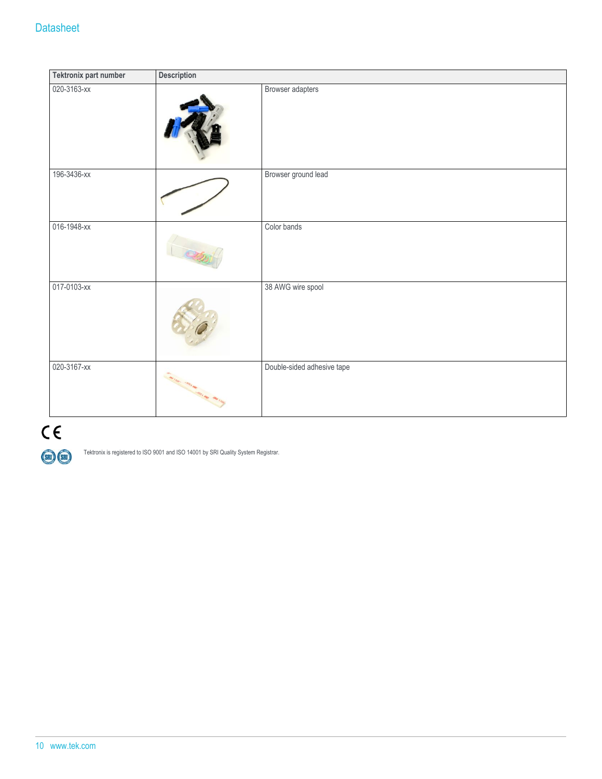| Tektronix part number | Description               |                            |  |
|-----------------------|---------------------------|----------------------------|--|
| 020-3163-xx           |                           | Browser adapters           |  |
| 196-3436-xx           |                           | Browser ground lead        |  |
| 016-1948-xx           |                           | Color bands                |  |
| 017-0103-xx           |                           | 38 AWG wire spool          |  |
| 020-3167-xx           | <b>SOUTH AND ARTICLES</b> | Double-sided adhesive tape |  |

# $C \in$  $\circledR$

Tektronix is registered to ISO 9001 and ISO 14001 by SRI Quality System Registrar.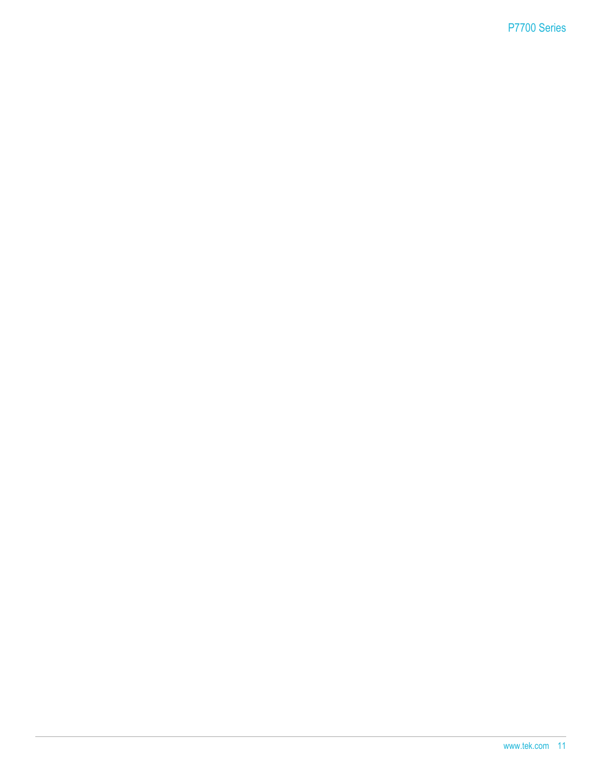P7700 Series